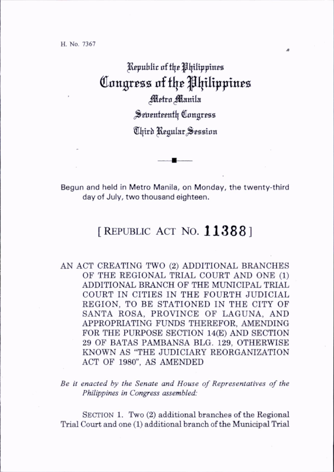H. No. 7367

## Republic of the Philippines Congress of the Philippines Metro Manila

Seventeenth Congress

Third Regular Session

Begun and held in Metro Manila, on Monday, the twenty-third day of July, two thousand eighteen.

## [REPUBLIC ACT NO. 11388]

AN ACT CREATING TWO (2) ADDITIONAL BRANCHES OF THE REGIONAL TRIAL COURT AND ONE (1) ADDITIONAL BRANCH OF THE MUNICIPAL TRIAL COURT IN CITIES IN THE FOURTH JUDICIAL REGION, TO BE STATIONED IN THE CITY OF SANTA ROSA, PROVINCE OF LAGUNA, AND APPROPRIATING FUNDS THEREFOR, AMENDING FOR THE PURPOSE SECTION 14(E) AND SECTION 29 OF BATAS PAMBANSA BLG. 129, OTHERWISE KNOWN AS "THE JUDICIARY REORGANIZATION ACT OF 1980", AS AMENDED

Be it enacted by the Senate and House of Representatives of the Philippines in Congress assembled:

SECTION 1. Two  $(2)$  additional branches of the Regional Trial Court and one (1) additional branch of the Municipal Trial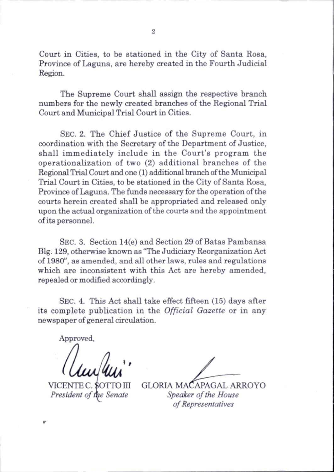Court in Cities, to be stationed in the City of Santa Rosa, Province of Laguna, are hereby created in the Fourth Judicial Region.

The Supreme Court shall assign the respective branch numbers for the newly created branches of the Regional Trial Court and Municipal Trial Court in Cities.

Sec. 2. The Chief Justice of the Supreme Court, in coordination with the Secretary of the Department of Justice, shall immediately include in the Court's program the operationalization of two (2) additional branches of the Regional Trial Court and one (1) additional branch of the Municipal Trial Court in Cities, to be stationed in the City of Santa Rosa, Province of Laguna. The funds necessary for the operation of the courts herein created shall be appropriated and released only upon the actual organization of the courts and the appointment of its personnel.

Sec. 3. Section 14(e) and Section 29 of Batas Pambansa Big. 129, otherwise known as "The Judiciary Reorganization Act of 1980", as amended, and all other laws, rules and regulations which are inconsistent with this Act are hereby amended, repealed or modified accordingly.

Sec. 4. This Act shall take effect fifteen (15) days after its complete publication in the Official Gazette or in any newspaper of general circulation.

Approved,

VICENTE C. \$OTTO III President of the Senate

GLORIA MACAPAGAL ARROYO Speaker of the House of Representatives